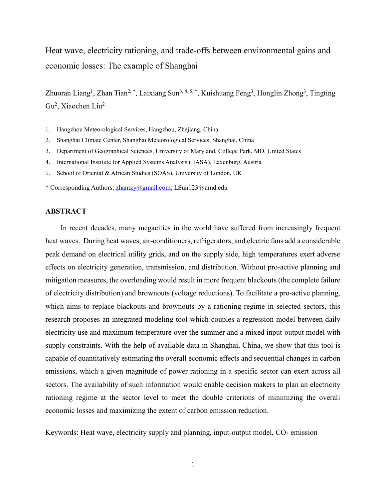# Heat wave, electricity rationing, and trade-offs between environmental gains and economic losses: The example of Shanghai

Zhuoran Liang<sup>1</sup>, Zhan Tian<sup>2, \*</sup>, Laixiang Sun<sup>3, 4, 5, \*</sup>, Kuishuang Feng<sup>3</sup>, Honglin Zhong<sup>3</sup>, Tingting Gu<sup>2</sup>, Xiaochen Liu<sup>2</sup>

- 1. Hangzhou Meteorological Services, Hangzhou, Zhejiang, China
- 2. Shanghai Climate Center, Shanghai Meteorological Services, Shanghai, China
- 3. Department of Geographical Sciences, University of Maryland, College Park, MD, United States
- 4. International Institute for Applied Systems Analysis (IIASA), Laxenburg, Austria
- 5. School of Oriental & African Studies (SOAS), University of London, UK

\* Corresponding Authors[: zhantzy@gmail.com;](mailto:zhantzy@gmail.com) LSun123@umd.edu

## **ABSTRACT**

In recent decades, many megacities in the world have suffered from increasingly frequent heat waves. During heat waves, air-conditioners, refrigerators, and electric fans add a considerable peak demand on electrical utility grids, and on the supply side, high temperatures exert adverse effects on electricity generation, transmission, and distribution. Without pro-active planning and mitigation measures, the overloading would result in more frequent blackouts (the complete failure of electricity distribution) and brownouts (voltage reductions). To facilitate a pro-active planning, which aims to replace blackouts and brownouts by a rationing regime in selected sectors, this research proposes an integrated modeling tool which couples a regression model between daily electricity use and maximum temperature over the summer and a mixed input-output model with supply constraints. With the help of available data in Shanghai, China, we show that this tool is capable of quantitatively estimating the overall economic effects and sequential changes in carbon emissions, which a given magnitude of power rationing in a specific sector can exert across all sectors. The availability of such information would enable decision makers to plan an electricity rationing regime at the sector level to meet the double criterions of minimizing the overall economic losses and maximizing the extent of carbon emission reduction.

Keywords: Heat wave, electricity supply and planning, input-output model,  $CO<sub>2</sub>$  emission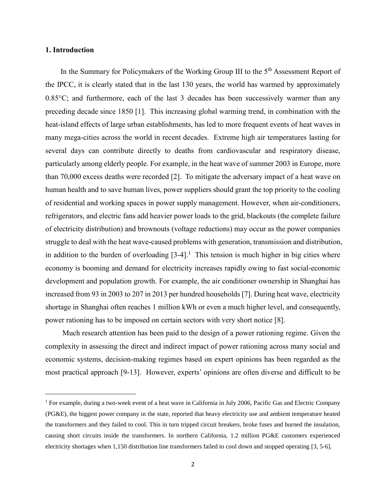### **1. Introduction**

 $\overline{a}$ 

In the Summary for Policymakers of the Working Group III to the 5<sup>th</sup> Assessment Report of the IPCC, it is clearly stated that in the last 130 years, the world has warmed by approximately  $0.85^{\circ}$ C; and furthermore, each of the last 3 decades has been successively warmer than any preceding decade since 1850 [1]. This increasing global warming trend, in combination with the heat-island effects of large urban establishments, has led to more frequent events of heat waves in many mega-cities across the world in recent decades. Extreme high air temperatures lasting for several days can contribute directly to deaths from cardiovascular and respiratory disease, particularly among elderly people. For example, in the heat wave of summer 2003 in Europe, more than 70,000 excess deaths were recorded [2]. To mitigate the adversary impact of a heat wave on human health and to save human lives, power suppliers should grant the top priority to the cooling of residential and working spaces in power supply management. However, when air-conditioners, refrigerators, and electric fans add heavier power loads to the grid, blackouts (the complete failure of electricity distribution) and brownouts (voltage reductions) may occur as the power companies struggle to deal with the heat wave-caused problems with generation, transmission and distribution, in addition to the burden of overloading  $[3-4]$ <sup>1</sup>. This tension is much higher in big cities where economy is booming and demand for electricity increases rapidly owing to fast social-economic development and population growth. For example, the air conditioner ownership in Shanghai has increased from 93 in 2003 to 207 in 2013 per hundred households [7]. During heat wave, electricity shortage in Shanghai often reaches 1 million kWh or even a much higher level, and consequently, power rationing has to be imposed on certain sectors with very short notice [8].

Much research attention has been paid to the design of a power rationing regime. Given the complexity in assessing the direct and indirect impact of power rationing across many social and economic systems, decision-making regimes based on expert opinions has been regarded as the most practical approach [9-13]. However, experts' opinions are often diverse and difficult to be

<sup>&</sup>lt;sup>1</sup> For example, during a two-week event of a heat wave in California in July 2006, Pacific Gas and Electric Company (PG&E), the biggest power company in the state, reported that heavy electricity use and ambient temperature heated the transformers and they failed to cool. This in turn tripped circuit breakers, broke fuses and burned the insulation, causing short circuits inside the transformers. In northern California, 1.2 million PG&E customers experienced electricity shortages when 1,150 distribution line transformers failed to cool down and stopped operating [3, 5-6].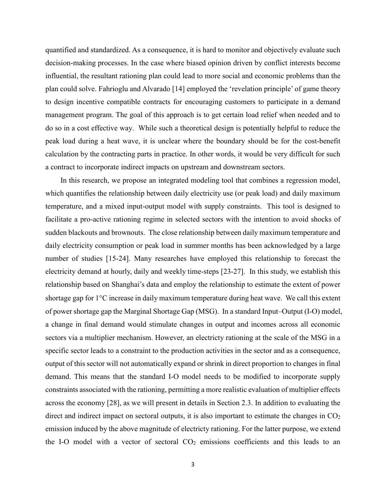quantified and standardized. As a consequence, it is hard to monitor and objectively evaluate such decision-making processes. In the case where biased opinion driven by conflict interests become influential, the resultant rationing plan could lead to more social and economic problems than the plan could solve. Fahrioglu and Alvarado [14] employed the 'revelation principle' of game theory to design incentive compatible contracts for encouraging customers to participate in a demand management program. The goal of this approach is to get certain load relief when needed and to do so in a cost effective way. While such a theoretical design is potentially helpful to reduce the peak load during a heat wave, it is unclear where the boundary should be for the cost-benefit calculation by the contracting parts in practice. In other words, it would be very difficult for such a contract to incorporate indirect impacts on upstream and downstream sectors.

In this research, we propose an integrated modeling tool that combines a regression model, which quantifies the relationship between daily electricity use (or peak load) and daily maximum temperature, and a mixed input-output model with supply constraints. This tool is designed to facilitate a pro-active rationing regime in selected sectors with the intention to avoid shocks of sudden blackouts and brownouts. The close relationship between daily maximum temperature and daily electricity consumption or peak load in summer months has been acknowledged by a large number of studies [15-24]. Many researches have employed this relationship to forecast the electricity demand at hourly, daily and weekly time-steps [23-27]. In this study, we establish this relationship based on Shanghai's data and employ the relationship to estimate the extent of power shortage gap for  $1^{\circ}$ C increase in daily maximum temperature during heat wave. We call this extent of power shortage gap the Marginal Shortage Gap (MSG). In a standard Input–Output (I-O) model, a change in final demand would stimulate changes in output and incomes across all economic sectors via a multiplier mechanism. However, an electricty rationing at the scale of the MSG in a specific sector leads to a constraint to the production activities in the sector and as a consequence, output of this sector will not automatically expand or shrink in direct proportion to changes in final demand. This means that the standard I-O model needs to be modified to incorporate supply constraints associated with the rationing, permitting a more realistic evaluation of multiplier effects across the economy [28], as we will present in details in Section 2.3. In addition to evaluating the direct and indirect impact on sectoral outputs, it is also important to estimate the changes in  $CO<sub>2</sub>$ emission induced by the above magnitude of electricty rationing. For the latter purpose, we extend the I-O model with a vector of sectoral  $CO<sub>2</sub>$  emissions coefficients and this leads to an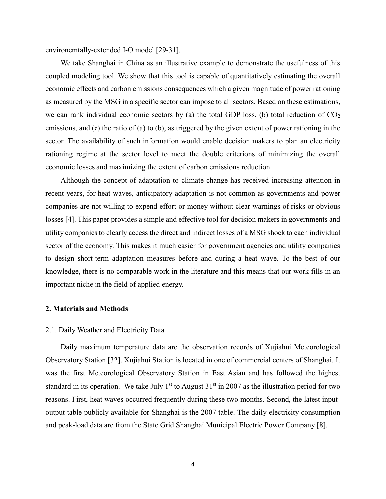environemtally-extended I-O model [29-31].

We take Shanghai in China as an illustrative example to demonstrate the usefulness of this coupled modeling tool. We show that this tool is capable of quantitatively estimating the overall economic effects and carbon emissions consequences which a given magnitude of power rationing as measured by the MSG in a specific sector can impose to all sectors. Based on these estimations, we can rank individual economic sectors by (a) the total GDP loss, (b) total reduction of  $CO<sub>2</sub>$ emissions, and (c) the ratio of (a) to (b), as triggered by the given extent of power rationing in the sector. The availability of such information would enable decision makers to plan an electricity rationing regime at the sector level to meet the double criterions of minimizing the overall economic losses and maximizing the extent of carbon emissions reduction.

Although the concept of adaptation to climate change has received increasing attention in recent years, for heat waves, anticipatory adaptation is not common as governments and power companies are not willing to expend effort or money without clear warnings of risks or obvious losses [4]. This paper provides a simple and effective tool for decision makers in governments and utility companies to clearly access the direct and indirect losses of a MSG shock to each individual sector of the economy. This makes it much easier for government agencies and utility companies to design short-term adaptation measures before and during a heat wave. To the best of our knowledge, there is no comparable work in the literature and this means that our work fills in an important niche in the field of applied energy.

# **2. Materials and Methods**

#### 2.1. Daily Weather and Electricity Data

Daily maximum temperature data are the observation records of Xujiahui Meteorological Observatory Station [32]. Xujiahui Station is located in one of commercial centers of Shanghai. It was the first Meteorological Observatory Station in East Asian and has followed the highest standard in its operation. We take July 1<sup>st</sup> to August  $31<sup>st</sup>$  in 2007 as the illustration period for two reasons. First, heat waves occurred frequently during these two months. Second, the latest inputoutput table publicly available for Shanghai is the 2007 table. The daily electricity consumption and peak-load data are from the State Grid Shanghai Municipal Electric Power Company [8].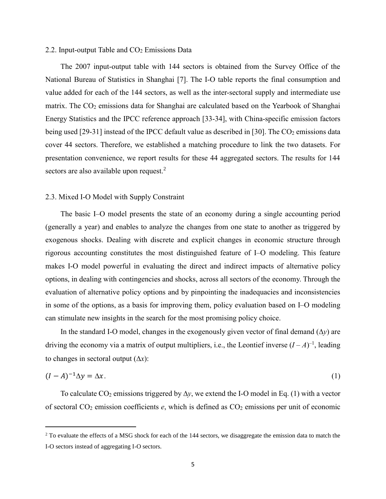# 2.2. Input-output Table and  $CO<sub>2</sub>$  Emissions Data

The 2007 input-output table with 144 sectors is obtained from the Survey Office of the National Bureau of Statistics in Shanghai [7]. The I-O table reports the final consumption and value added for each of the 144 sectors, as well as the inter-sectoral supply and intermediate use matrix. The CO<sub>2</sub> emissions data for Shanghai are calculated based on the Yearbook of Shanghai Energy Statistics and the IPCC reference approach [33-34], with China-specific emission factors being used [29-31] instead of the IPCC default value as described in [30]. The  $CO<sub>2</sub>$  emissions data cover 44 sectors. Therefore, we established a matching procedure to link the two datasets. For presentation convenience, we report results for these 44 aggregated sectors. The results for 144 sectors are also available upon request.<sup>2</sup>

# 2.3. Mixed I-O Model with Supply Constraint

 $\overline{a}$ 

The basic I–O model presents the state of an economy during a single accounting period (generally a year) and enables to analyze the changes from one state to another as triggered by exogenous shocks. Dealing with discrete and explicit changes in economic structure through rigorous accounting constitutes the most distinguished feature of I–O modeling. This feature makes I-O model powerful in evaluating the direct and indirect impacts of alternative policy options, in dealing with contingencies and shocks, across all sectors of the economy. Through the evaluation of alternative policy options and by pinpointing the inadequacies and inconsistencies in some of the options, as a basis for improving them, policy evaluation based on I–O modeling can stimulate new insights in the search for the most promising policy choice.

In the standard I-O model, changes in the exogenously given vector of final demand  $(\Delta y)$  are driving the economy via a matrix of output multipliers, i.e., the Leontief inverse  $(I - A)^{-1}$ , leading to changes in sectoral output  $(\Delta x)$ :

$$
(I - A)^{-1} \Delta y = \Delta x. \tag{1}
$$

To calculate  $CO_2$  emissions triggered by  $\Delta y$ , we extend the I-O model in Eq. (1) with a vector of sectoral CO<sup>2</sup> emission coefficients *e*, which is defined as CO<sup>2</sup> emissions per unit of economic

<sup>&</sup>lt;sup>2</sup> To evaluate the effects of a MSG shock for each of the 144 sectors, we disaggregate the emission data to match the I-O sectors instead of aggregating I-O sectors.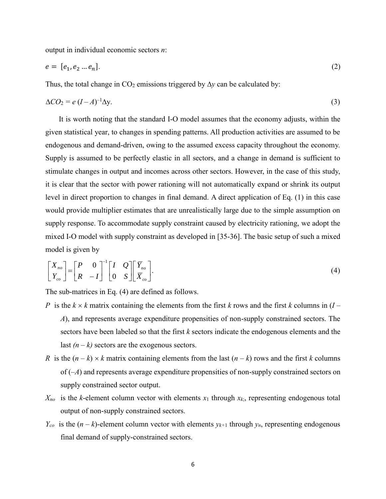output in individual economic sectors *n*:

$$
e = [e_1, e_2 \dots e_n]. \tag{2}
$$

Thus, the total change in  $CO_2$  emissions triggered by  $\Delta y$  can be calculated by:

$$
\Delta CO_2 = e(I - A)^{-1} \Delta y. \tag{3}
$$

It is worth noting that the standard I-O model assumes that the economy adjusts, within the given statistical year, to changes in spending patterns. All production activities are assumed to be endogenous and demand-driven, owing to the assumed excess capacity throughout the economy. Supply is assumed to be perfectly elastic in all sectors, and a change in demand is sufficient to stimulate changes in output and incomes across other sectors. However, in the case of this study, it is clear that the sector with power rationing will not automatically expand or shrink its output level in direct proportion to changes in final demand. A direct application of Eq. (1) in this case would provide multiplier estimates that are unrealistically large due to the simple assumption on supply response. To accommodate supply constraint caused by electricity rationing, we adopt the mixed I-O model with supply constraint as developed in [35-36]. The basic setup of such a mixed model is given by

$$
\begin{bmatrix} X_{no} \\ Y_{co} \end{bmatrix} = \begin{bmatrix} P & 0 \\ R & -I \end{bmatrix}^{-1} \begin{bmatrix} I & Q \\ 0 & S \end{bmatrix} \begin{bmatrix} \overline{Y}_{no} \\ \overline{X}_{co} \end{bmatrix}.
$$
 (4)

The sub-matrices in Eq. (4) are defined as follows.

- *P* is the  $k \times k$  matrix containing the elements from the first *k* rows and the first *k* columns in  $(I -$ *A*), and represents average expenditure propensities of non-supply constrained sectors. The sectors have been labeled so that the first *k* sectors indicate the endogenous elements and the last  $(n - k)$  sectors are the exogenous sectors.
- *R* is the  $(n k) \times k$  matrix containing elements from the last  $(n k)$  rows and the first *k* columns of (–*A*) and represents average expenditure propensities of non-supply constrained sectors on supply constrained sector output.
- $X_{no}$  is the *k*-element column vector with elements  $x_1$  through  $x_k$ ; representing endogenous total output of non-supply constrained sectors.
- *Y*<sub>co</sub> is the  $(n k)$ -element column vector with elements  $y_{k+1}$  through  $y_n$ , representing endogenous final demand of supply-constrained sectors.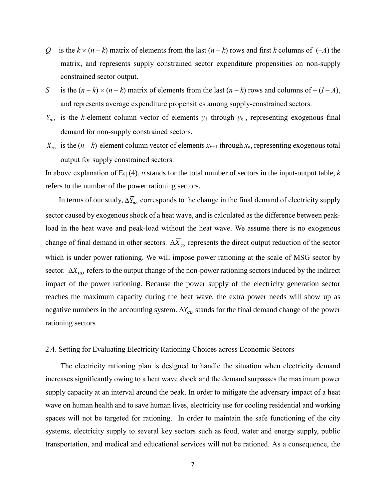- *Q* is the  $k \times (n k)$  matrix of elements from the last  $(n k)$  rows and first *k* columns of  $(-A)$  the matrix, and represents supply constrained sector expenditure propensities on non-supply constrained sector output.
- *S* is the  $(n k) \times (n k)$  matrix of elements from the last  $(n k)$  rows and columns of  $-(I A)$ , and represents average expenditure propensities among supply-constrained sectors.
- $\bar{Y}_{n\sigma}$  is the *k*-element column vector of elements  $y_1$  through  $y_k$ , representing exogenous final demand for non-supply constrained sectors.
- $\bar{X}_{co}$  is the  $(n-k)$ -element column vector of elements  $x_{k+1}$  through  $x_n$ , representing exogenous total output for supply constrained sectors.

In above explanation of Eq (4), *n* stands for the total number of sectors in the input-output table, *k* refers to the number of the power rationing sectors.

In terms of our study,  $\Delta Y_{no}$  corresponds to the change in the final demand of electricity supply sector caused by exogenous shock of a heat wave, and is calculated as the difference between peakload in the heat wave and peak-load without the heat wave. We assume there is no exogenous change of final demand in other sectors.  $\Delta \bar{X}_{co}$  represents the direct output reduction of the sector which is under power rationing. We will impose power rationing at the scale of MSG sector by sector.  $\Delta X_{no}$  refers to the output change of the non-power rationing sectors induced by the indirect impact of the power rationing. Because the power supply of the electricity generation sector reaches the maximum capacity during the heat wave, the extra power needs will show up as negative numbers in the accounting system.  $\Delta Y_{co}$  stands for the final demand change of the power rationing sectors

#### 2.4. Setting for Evaluating Electricity Rationing Choices across Economic Sectors

The electricity rationing plan is designed to handle the situation when electricity demand increases significantly owing to a heat wave shock and the demand surpasses the maximum power supply capacity at an interval around the peak. In order to mitigate the adversary impact of a heat wave on human health and to save human lives, electricity use for cooling residential and working spaces will not be targeted for rationing. In order to maintain the safe functioning of the city systems, electricity supply to several key sectors such as food, water and energy supply, public transportation, and medical and educational services will not be rationed. As a consequence, the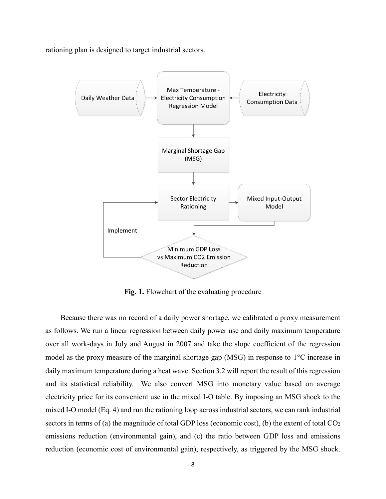rationing plan is designed to target industrial sectors.



**Fig. 1.** Flowchart of the evaluating procedure

Because there was no record of a daily power shortage, we calibrated a proxy measurement as follows. We run a linear regression between daily power use and daily maximum temperature over all work-days in July and August in 2007 and take the slope coefficient of the regression model as the proxy measure of the marginal shortage gap (MSG) in response to  $1^{\circ}$ C increase in daily maximum temperature during a heat wave. Section 3.2 will report the result of this regression and its statistical reliability. We also convert MSG into monetary value based on average electricity price for its convenient use in the mixed I-O table. By imposing an MSG shock to the mixed I-O model (Eq. 4) and run the rationing loop across industrial sectors, we can rank industrial sectors in terms of (a) the magnitude of total GDP loss (economic cost), (b) the extent of total  $CO<sub>2</sub>$ emissions reduction (environmental gain), and (c) the ratio between GDP loss and emissions reduction (economic cost of environmental gain), respectively, as triggered by the MSG shock.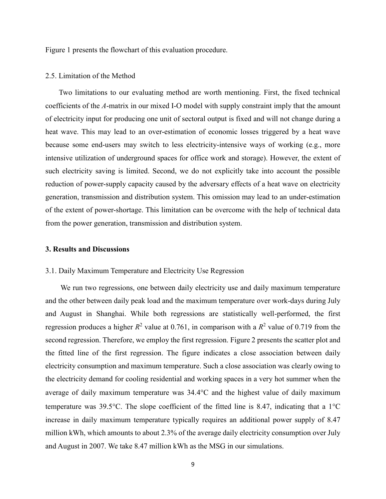Figure 1 presents the flowchart of this evaluation procedure.

# 2.5. Limitation of the Method

Two limitations to our evaluating method are worth mentioning. First, the fixed technical coefficients of the *A*-matrix in our mixed I-O model with supply constraint imply that the amount of electricity input for producing one unit of sectoral output is fixed and will not change during a heat wave. This may lead to an over-estimation of economic losses triggered by a heat wave because some end-users may switch to less electricity-intensive ways of working (e.g., more intensive utilization of underground spaces for office work and storage). However, the extent of such electricity saving is limited. Second, we do not explicitly take into account the possible reduction of power-supply capacity caused by the adversary effects of a heat wave on electricity generation, transmission and distribution system. This omission may lead to an under-estimation of the extent of power-shortage. This limitation can be overcome with the help of technical data from the power generation, transmission and distribution system.

# **3. Results and Discussions**

### 3.1. Daily Maximum Temperature and Electricity Use Regression

We run two regressions, one between daily electricity use and daily maximum temperature and the other between daily peak load and the maximum temperature over work-days during July and August in Shanghai. While both regressions are statistically well-performed, the first regression produces a higher  $R^2$  value at 0.761, in comparison with a  $R^2$  value of 0.719 from the second regression. Therefore, we employ the first regression. Figure 2 presents the scatter plot and the fitted line of the first regression. The figure indicates a close association between daily electricity consumption and maximum temperature. Such a close association was clearly owing to the electricity demand for cooling residential and working spaces in a very hot summer when the average of daily maximum temperature was  $34.4^{\circ}$ C and the highest value of daily maximum temperature was 39.5 $^{\circ}$ C. The slope coefficient of the fitted line is 8.47, indicating that a 1 $^{\circ}$ C increase in daily maximum temperature typically requires an additional power supply of 8.47 million kWh, which amounts to about 2.3% of the average daily electricity consumption over July and August in 2007. We take 8.47 million kWh as the MSG in our simulations.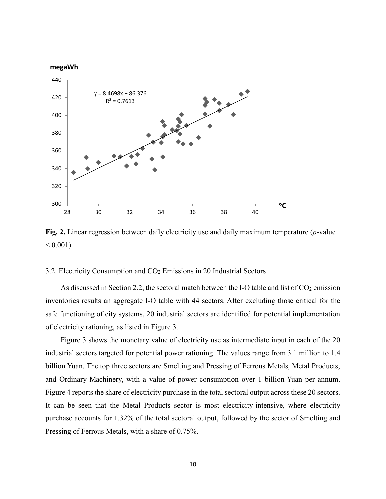

**Fig. 2.** Linear regression between daily electricity use and daily maximum temperature (*p*-value  $< 0.001$ )

### 3.2. Electricity Consumption and CO<sup>2</sup> Emissions in 20 Industrial Sectors

As discussed in Section 2.2, the sectoral match between the I-O table and list of  $CO<sub>2</sub>$  emission inventories results an aggregate I-O table with 44 sectors. After excluding those critical for the safe functioning of city systems, 20 industrial sectors are identified for potential implementation of electricity rationing, as listed in Figure 3.

Figure 3 shows the monetary value of electricity use as intermediate input in each of the 20 industrial sectors targeted for potential power rationing. The values range from 3.1 million to 1.4 billion Yuan. The top three sectors are Smelting and Pressing of Ferrous Metals, Metal Products, and Ordinary Machinery, with a value of power consumption over 1 billion Yuan per annum. Figure 4 reports the share of electricity purchase in the total sectoral output across these 20 sectors. It can be seen that the Metal Products sector is most electricity-intensive, where electricity purchase accounts for 1.32% of the total sectoral output, followed by the sector of Smelting and Pressing of Ferrous Metals, with a share of 0.75%.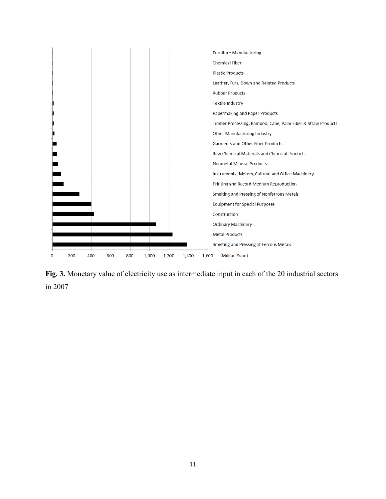

**Fig. 3.** Monetary value of electricity use as intermediate input in each of the 20 industrial sectors in 2007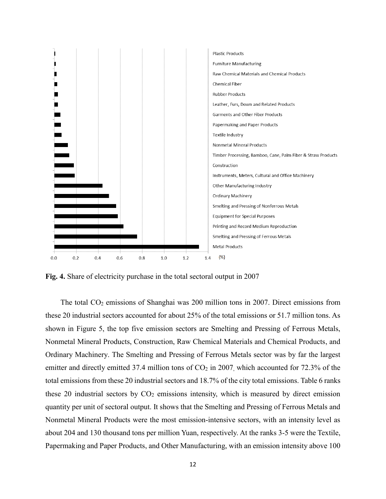

**Fig. 4.** Share of electricity purchase in the total sectoral output in 2007

The total  $CO<sub>2</sub>$  emissions of Shanghai was 200 million tons in 2007. Direct emissions from these 20 industrial sectors accounted for about 25% of the total emissions or 51.7 million tons. As shown in Figure 5, the top five emission sectors are Smelting and Pressing of Ferrous Metals, Nonmetal Mineral Products, Construction, Raw Chemical Materials and Chemical Products, and Ordinary Machinery. The Smelting and Pressing of Ferrous Metals sector was by far the largest emitter and directly emitted 37.4 million tons of  $CO<sub>2</sub>$  in 2007, which accounted for 72.3% of the total emissions from these 20 industrial sectors and 18.7% of the city total emissions. Table 6 ranks these 20 industrial sectors by  $CO<sub>2</sub>$  emissions intensity, which is measured by direct emission quantity per unit of sectoral output. It shows that the Smelting and Pressing of Ferrous Metals and Nonmetal Mineral Products were the most emission-intensive sectors, with an intensity level as about 204 and 130 thousand tons per million Yuan, respectively. At the ranks 3-5 were the Textile, Papermaking and Paper Products, and Other Manufacturing, with an emission intensity above 100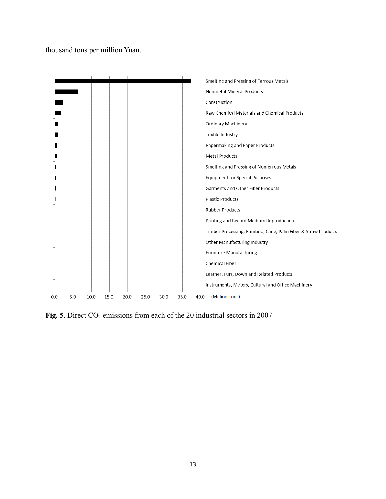thousand tons per million Yuan.



Fig. 5. Direct CO<sub>2</sub> emissions from each of the 20 industrial sectors in 2007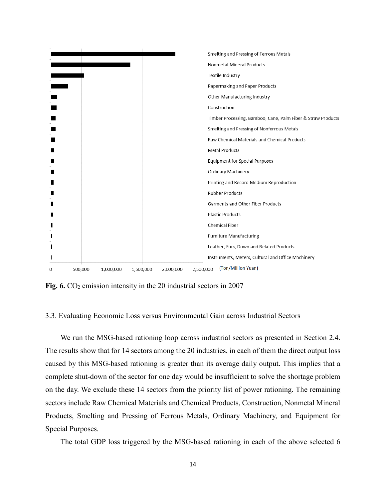

Fig. 6. CO<sub>2</sub> emission intensity in the 20 industrial sectors in 2007

# 3.3. Evaluating Economic Loss versus Environmental Gain across Industrial Sectors

We run the MSG-based rationing loop across industrial sectors as presented in Section 2.4. The results show that for 14 sectors among the 20 industries, in each of them the direct output loss caused by this MSG-based rationing is greater than its average daily output. This implies that a complete shut-down of the sector for one day would be insufficient to solve the shortage problem on the day. We exclude these 14 sectors from the priority list of power rationing. The remaining sectors include Raw Chemical Materials and Chemical Products, Construction, Nonmetal Mineral Products, Smelting and Pressing of Ferrous Metals, Ordinary Machinery, and Equipment for Special Purposes.

The total GDP loss triggered by the MSG-based rationing in each of the above selected 6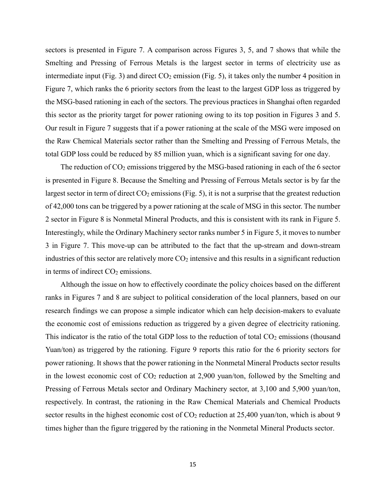sectors is presented in Figure 7. A comparison across Figures 3, 5, and 7 shows that while the Smelting and Pressing of Ferrous Metals is the largest sector in terms of electricity use as intermediate input (Fig. 3) and direct  $CO<sub>2</sub>$  emission (Fig. 5), it takes only the number 4 position in Figure 7, which ranks the 6 priority sectors from the least to the largest GDP loss as triggered by the MSG-based rationing in each of the sectors. The previous practices in Shanghai often regarded this sector as the priority target for power rationing owing to its top position in Figures 3 and 5. Our result in Figure 7 suggests that if a power rationing at the scale of the MSG were imposed on the Raw Chemical Materials sector rather than the Smelting and Pressing of Ferrous Metals, the total GDP loss could be reduced by 85 million yuan, which is a significant saving for one day.

The reduction of  $CO<sub>2</sub>$  emissions triggered by the MSG-based rationing in each of the 6 sector is presented in Figure 8. Because the Smelting and Pressing of Ferrous Metals sector is by far the largest sector in term of direct  $CO_2$  emissions (Fig. 5), it is not a surprise that the greatest reduction of 42,000 tons can be triggered by a power rationing at the scale of MSG in this sector. The number 2 sector in Figure 8 is Nonmetal Mineral Products, and this is consistent with its rank in Figure 5. Interestingly, while the Ordinary Machinery sector ranks number 5 in Figure 5, it moves to number 3 in Figure 7. This move-up can be attributed to the fact that the up-stream and down-stream industries of this sector are relatively more  $CO<sub>2</sub>$  intensive and this results in a significant reduction in terms of indirect  $CO<sub>2</sub>$  emissions.

Although the issue on how to effectively coordinate the policy choices based on the different ranks in Figures 7 and 8 are subject to political consideration of the local planners, based on our research findings we can propose a simple indicator which can help decision-makers to evaluate the economic cost of emissions reduction as triggered by a given degree of electricity rationing. This indicator is the ratio of the total GDP loss to the reduction of total  $CO<sub>2</sub>$  emissions (thousand Yuan/ton) as triggered by the rationing. Figure 9 reports this ratio for the 6 priority sectors for power rationing. It shows that the power rationing in the Nonmetal Mineral Products sector results in the lowest economic cost of  $CO<sub>2</sub>$  reduction at 2,900 yuan/ton, followed by the Smelting and Pressing of Ferrous Metals sector and Ordinary Machinery sector, at 3,100 and 5,900 yuan/ton, respectively. In contrast, the rationing in the Raw Chemical Materials and Chemical Products sector results in the highest economic cost of  $CO<sub>2</sub>$  reduction at 25,400 yuan/ton, which is about 9 times higher than the figure triggered by the rationing in the Nonmetal Mineral Products sector.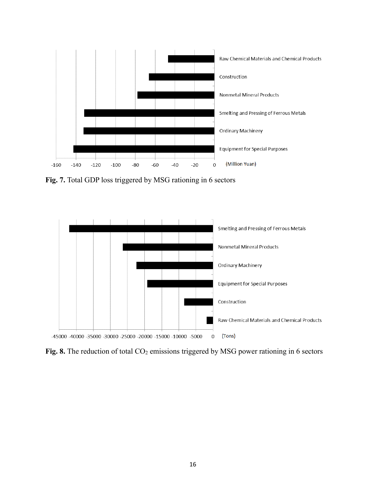

**Fig. 7.** Total GDP loss triggered by MSG rationing in 6 sectors



Fig. 8. The reduction of total CO<sub>2</sub> emissions triggered by MSG power rationing in 6 sectors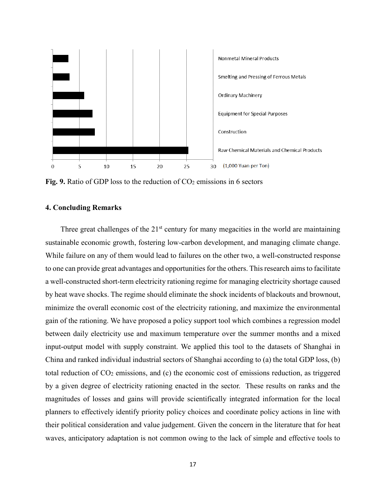

**Fig. 9.** Ratio of GDP loss to the reduction of  $CO<sub>2</sub>$  emissions in 6 sectors

# **4. Concluding Remarks**

Three great challenges of the  $21<sup>st</sup>$  century for many megacities in the world are maintaining sustainable economic growth, fostering low-carbon development, and managing climate change. While failure on any of them would lead to failures on the other two, a well-constructed response to one can provide great advantages and opportunities for the others. This research aims to facilitate a well-constructed short-term electricity rationing regime for managing electricity shortage caused by heat wave shocks. The regime should eliminate the shock incidents of blackouts and brownout, minimize the overall economic cost of the electricity rationing, and maximize the environmental gain of the rationing. We have proposed a policy support tool which combines a regression model between daily electricity use and maximum temperature over the summer months and a mixed input-output model with supply constraint. We applied this tool to the datasets of Shanghai in China and ranked individual industrial sectors of Shanghai according to (a) the total GDP loss, (b) total reduction of  $CO<sub>2</sub>$  emissions, and (c) the economic cost of emissions reduction, as triggered by a given degree of electricity rationing enacted in the sector. These results on ranks and the magnitudes of losses and gains will provide scientifically integrated information for the local planners to effectively identify priority policy choices and coordinate policy actions in line with their political consideration and value judgement. Given the concern in the literature that for heat waves, anticipatory adaptation is not common owing to the lack of simple and effective tools to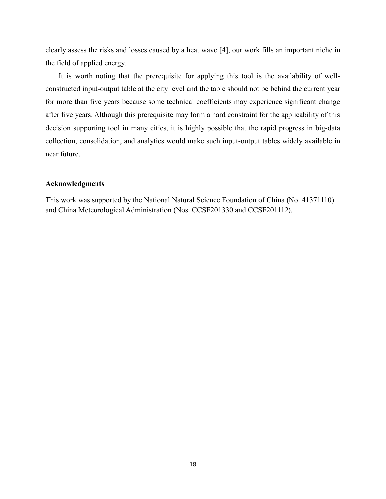clearly assess the risks and losses caused by a heat wave [4], our work fills an important niche in the field of applied energy.

It is worth noting that the prerequisite for applying this tool is the availability of wellconstructed input-output table at the city level and the table should not be behind the current year for more than five years because some technical coefficients may experience significant change after five years. Although this prerequisite may form a hard constraint for the applicability of this decision supporting tool in many cities, it is highly possible that the rapid progress in big-data collection, consolidation, and analytics would make such input-output tables widely available in near future.

# **Acknowledgments**

This work was supported by the National Natural Science Foundation of China (No. 41371110) and China Meteorological Administration (Nos. CCSF201330 and CCSF201112).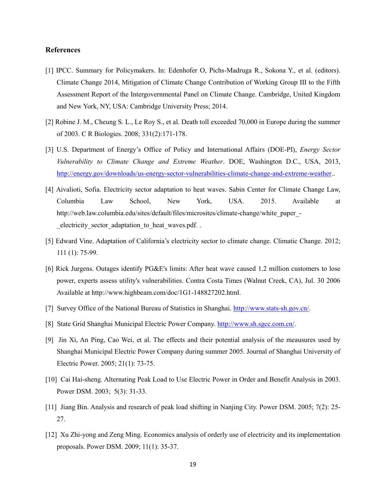# **References**

- [1] IPCC. Summary for Policymakers. In: Edenhofer O, Pichs-Madruga R., Sokona Y., et al. (editors). Climate Change 2014, Mitigation of Climate Change Contribution of Working Group III to the Fifth Assessment Report of the Intergovernmental Panel on Climate Change. Cambridge, United Kingdom and New York, NY, USA: Cambridge University Press; 2014.
- [2] Robine J. M., Cheung S. L., Le Roy S., et al. Death toll exceeded 70,000 in Europe during the summer of 2003. C R Biologies. 2008; 331(2):171-178.
- [3] U.S. Department of Energy's Office of Policy and International Affairs (DOE-PI), *Energy Sector Vulnerability to Climate Change and Extreme Weather*. DOE, Washington D.C., USA, 2013, [http://energy.gov/downloads/us-energy-sector-vulnerabilities-climate-change-and-extreme-weather.](http://energy.gov/downloads/us-energy-sector-vulnerabilities-climate-change-and-extreme-weather).
- [4] Aivalioti, Sofia. Electricity sector adaptation to heat waves. Sabin Center for Climate Change Law, Columbia Law School, New York, USA. 2015. Available at http://web.law.columbia.edu/sites/default/files/microsites/climate-change/white\_paper\_ electricity sector adaptation to heat waves.pdf. .
- [5] Edward Vine. Adaptation of California's electricity sector to climate change. Climatic Change. 2012; 111 (1): 75-99.
- [6] Rick Jurgens. Outages identify PG&E's limits: After heat wave caused 1.2 million customers to lose power, experts assess utility's vulnerabilities. Contra Costa Times (Walnut Creek, CA), Jul. 30 2006 Available at http://www.highbeam.com/doc/1G1-148827202.html.
- [7] Survey Office of the National Bureau of Statistics in Shanghai. [http://www.stats-sh.gov.cn/.](http://www.stats-sh.gov.cn/)
- [8] State Grid Shanghai Municipal Electric Power Company. [http://www.sh.sgcc.com.cn/.](http://www.sh.sgcc.com.cn/)
- [9] Jin Xi, An Ping, Cao Wei, et al. The effects and their potential analysis of the meausures used by Shanghai Municipal Electric Power Company during summer 2005. Journal of Shanghai University of Electric Power. 2005; 21(1): 73-75.
- [10] Cai Hai-sheng. Alternating Peak Load to Use Electric Power in Order and Benefit Analysis in 2003. Power DSM. 2003; 5(3): 31-33.
- [11] Jiang Bin. Analysis and research of peak load shifting in Nanjing City. Power DSM. 2005; 7(2): 25- 27.
- [12] Xu Zhi-yong and Zeng Ming. Economics analysis of orderly use of electricity and its implementation proposals. Power DSM. 2009; 11(1): 35-37.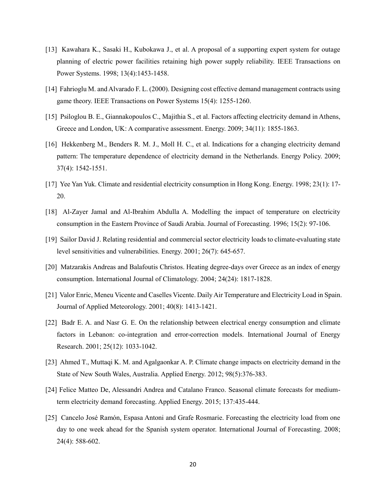- [13] Kawahara K., Sasaki H., Kubokawa J., et al. A proposal of a supporting expert system for outage planning of electric power facilities retaining high power supply reliability. IEEE Transactions on Power Systems. 1998; 13(4):1453-1458.
- [14] Fahrioglu M. and Alvarado F. L. (2000). Designing cost effective demand management contracts using game theory. IEEE Transactions on Power Systems 15(4): 1255-1260.
- [15] Psiloglou B. E., Giannakopoulos C., Majithia S., et al. Factors affecting electricity demand in Athens, Greece and London, UK: A comparative assessment. Energy. 2009; 34(11): 1855-1863.
- [16] Hekkenberg M., Benders R. M. J., Moll H. C., et al. Indications for a changing electricity demand pattern: The temperature dependence of electricity demand in the Netherlands. Energy Policy. 2009; 37(4): 1542-1551.
- [17] Yee Yan Yuk. Climate and residential electricity consumption in Hong Kong. Energy. 1998; 23(1): 17- 20.
- [18] Al-Zayer Jamal and Al-Ibrahim Abdulla A. Modelling the impact of temperature on electricity consumption in the Eastern Province of Saudi Arabia. Journal of Forecasting. 1996; 15(2): 97-106.
- [19] Sailor David J. Relating residential and commercial sector electricity loads to climate-evaluating state level sensitivities and vulnerabilities. Energy. 2001; 26(7): 645-657.
- [20] Matzarakis Andreas and Balafoutis Christos. Heating degree-days over Greece as an index of energy consumption. International Journal of Climatology. 2004; 24(24): 1817-1828.
- [21] Valor Enric, Meneu Vicente and Caselles Vicente. Daily Air Temperature and Electricity Load in Spain. Journal of Applied Meteorology. 2001; 40(8): 1413-1421.
- [22] Badr E. A. and Nasr G. E. On the relationship between electrical energy consumption and climate factors in Lebanon: co-integration and error-correction models. International Journal of Energy Research. 2001; 25(12): 1033-1042.
- [23] Ahmed T., Muttaqi K. M. and Agalgaonkar A. P. Climate change impacts on electricity demand in the State of New South Wales, Australia. Applied Energy. 2012; 98(5):376-383.
- [24] Felice Matteo De, Alessandri Andrea and Catalano Franco. Seasonal climate forecasts for mediumterm electricity demand forecasting. Applied Energy. 2015; 137:435-444.
- [25] Cancelo José Ramón, Espasa Antoni and Grafe Rosmarie. Forecasting the electricity load from one day to one week ahead for the Spanish system operator. International Journal of Forecasting. 2008; 24(4): 588-602.